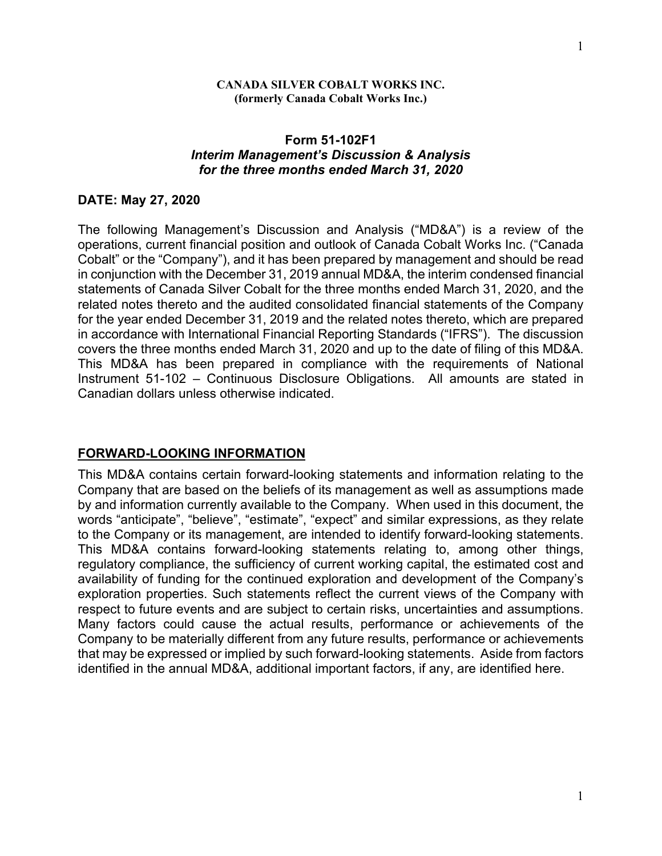#### **CANADA SILVER COBALT WORKS INC. (formerly Canada Cobalt Works Inc.)**

### **Form 51-102F1**  *Interim Management's Discussion & Analysis for the three months ended March 31, 2020*

#### **DATE: May 27, 2020**

The following Management's Discussion and Analysis ("MD&A") is a review of the operations, current financial position and outlook of Canada Cobalt Works Inc. ("Canada Cobalt" or the "Company"), and it has been prepared by management and should be read in conjunction with the December 31, 2019 annual MD&A, the interim condensed financial statements of Canada Silver Cobalt for the three months ended March 31, 2020, and the related notes thereto and the audited consolidated financial statements of the Company for the year ended December 31, 2019 and the related notes thereto, which are prepared in accordance with International Financial Reporting Standards ("IFRS"). The discussion covers the three months ended March 31, 2020 and up to the date of filing of this MD&A. This MD&A has been prepared in compliance with the requirements of National Instrument 51-102 – Continuous Disclosure Obligations. All amounts are stated in Canadian dollars unless otherwise indicated.

#### **FORWARD-LOOKING INFORMATION**

This MD&A contains certain forward-looking statements and information relating to the Company that are based on the beliefs of its management as well as assumptions made by and information currently available to the Company. When used in this document, the words "anticipate", "believe", "estimate", "expect" and similar expressions, as they relate to the Company or its management, are intended to identify forward-looking statements. This MD&A contains forward-looking statements relating to, among other things, regulatory compliance, the sufficiency of current working capital, the estimated cost and availability of funding for the continued exploration and development of the Company's exploration properties. Such statements reflect the current views of the Company with respect to future events and are subject to certain risks, uncertainties and assumptions. Many factors could cause the actual results, performance or achievements of the Company to be materially different from any future results, performance or achievements that may be expressed or implied by such forward-looking statements. Aside from factors identified in the annual MD&A, additional important factors, if any, are identified here.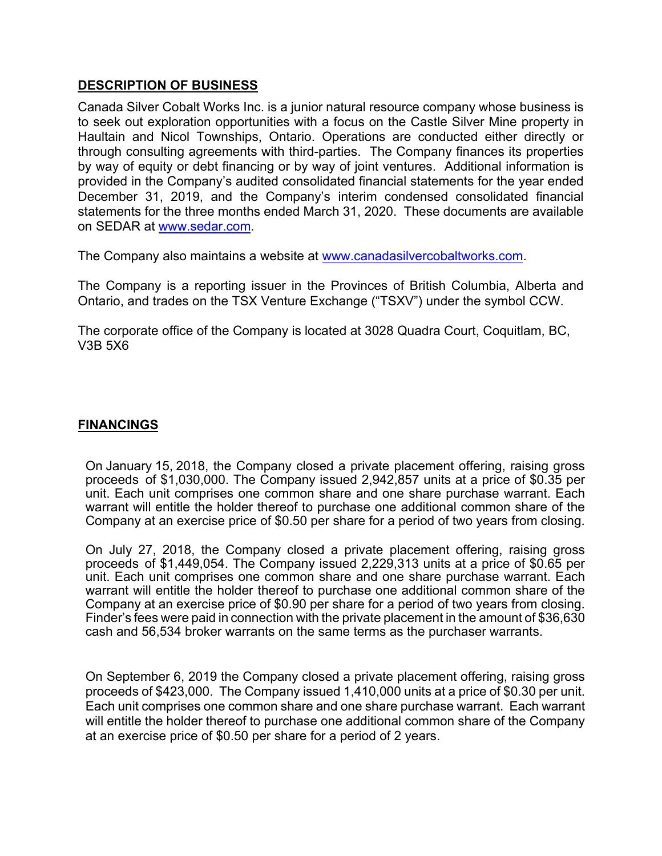### **DESCRIPTION OF BUSINESS**

Canada Silver Cobalt Works Inc. is a junior natural resource company whose business is to seek out exploration opportunities with a focus on the Castle Silver Mine property in Haultain and Nicol Townships, Ontario. Operations are conducted either directly or through consulting agreements with third-parties. The Company finances its properties by way of equity or debt financing or by way of joint ventures. Additional information is provided in the Company's audited consolidated financial statements for the year ended December 31, 2019, and the Company's interim condensed consolidated financial statements for the three months ended March 31, 2020. These documents are available on SEDAR at www.sedar.com.

The Company also maintains a website at www.canadasilvercobaltworks.com.

The Company is a reporting issuer in the Provinces of British Columbia, Alberta and Ontario, and trades on the TSX Venture Exchange ("TSXV") under the symbol CCW.

The corporate office of the Company is located at 3028 Quadra Court, Coquitlam, BC, V3B 5X6

### **FINANCINGS**

On January 15, 2018, the Company closed a private placement offering, raising gross proceeds of \$1,030,000. The Company issued 2,942,857 units at a price of \$0.35 per unit. Each unit comprises one common share and one share purchase warrant. Each warrant will entitle the holder thereof to purchase one additional common share of the Company at an exercise price of \$0.50 per share for a period of two years from closing.

On July 27, 2018, the Company closed a private placement offering, raising gross proceeds of \$1,449,054. The Company issued 2,229,313 units at a price of \$0.65 per unit. Each unit comprises one common share and one share purchase warrant. Each warrant will entitle the holder thereof to purchase one additional common share of the Company at an exercise price of \$0.90 per share for a period of two years from closing. Finder's fees were paid in connection with the private placement in the amount of \$36,630 cash and 56,534 broker warrants on the same terms as the purchaser warrants.

On September 6, 2019 the Company closed a private placement offering, raising gross proceeds of \$423,000. The Company issued 1,410,000 units at a price of \$0.30 per unit. Each unit comprises one common share and one share purchase warrant. Each warrant will entitle the holder thereof to purchase one additional common share of the Company at an exercise price of \$0.50 per share for a period of 2 years.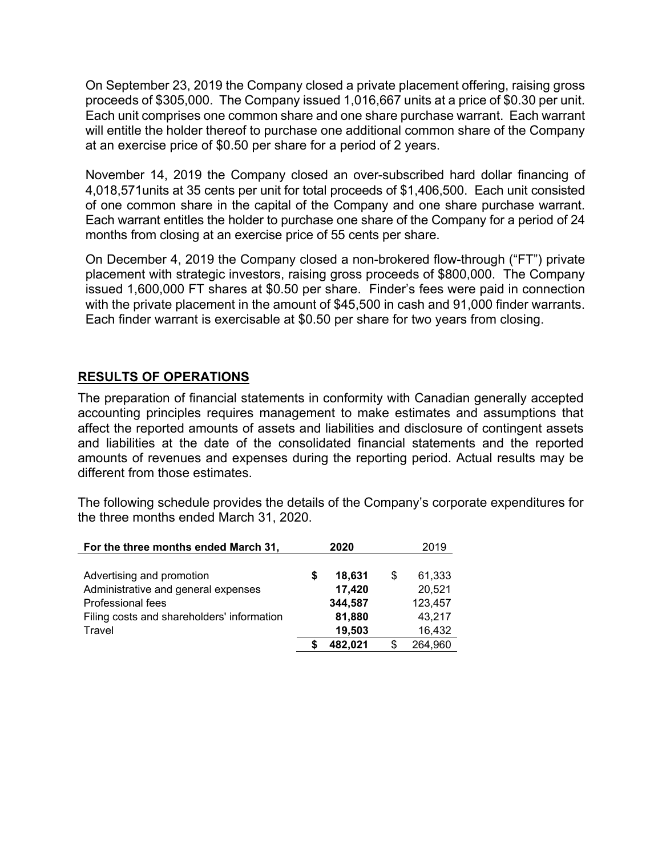On September 23, 2019 the Company closed a private placement offering, raising gross proceeds of \$305,000. The Company issued 1,016,667 units at a price of \$0.30 per unit. Each unit comprises one common share and one share purchase warrant. Each warrant will entitle the holder thereof to purchase one additional common share of the Company at an exercise price of \$0.50 per share for a period of 2 years.

November 14, 2019 the Company closed an over-subscribed hard dollar financing of 4,018,571units at 35 cents per unit for total proceeds of \$1,406,500. Each unit consisted of one common share in the capital of the Company and one share purchase warrant. Each warrant entitles the holder to purchase one share of the Company for a period of 24 months from closing at an exercise price of 55 cents per share.

On December 4, 2019 the Company closed a non-brokered flow-through ("FT") private placement with strategic investors, raising gross proceeds of \$800,000. The Company issued 1,600,000 FT shares at \$0.50 per share. Finder's fees were paid in connection with the private placement in the amount of \$45,500 in cash and 91,000 finder warrants. Each finder warrant is exercisable at \$0.50 per share for two years from closing.

## **RESULTS OF OPERATIONS**

The preparation of financial statements in conformity with Canadian generally accepted accounting principles requires management to make estimates and assumptions that affect the reported amounts of assets and liabilities and disclosure of contingent assets and liabilities at the date of the consolidated financial statements and the reported amounts of revenues and expenses during the reporting period. Actual results may be different from those estimates.

The following schedule provides the details of the Company's corporate expenditures for the three months ended March 31, 2020.

| For the three months ended March 31,       | 2020 |         |   | 2019    |  |
|--------------------------------------------|------|---------|---|---------|--|
| Advertising and promotion                  | S    | 18,631  | S | 61,333  |  |
| Administrative and general expenses        |      | 17,420  |   | 20,521  |  |
| Professional fees                          |      | 344,587 |   | 123,457 |  |
| Filing costs and shareholders' information |      | 81,880  |   | 43,217  |  |
| Travel                                     |      | 19,503  |   | 16,432  |  |
|                                            |      | 482,021 |   | 264,960 |  |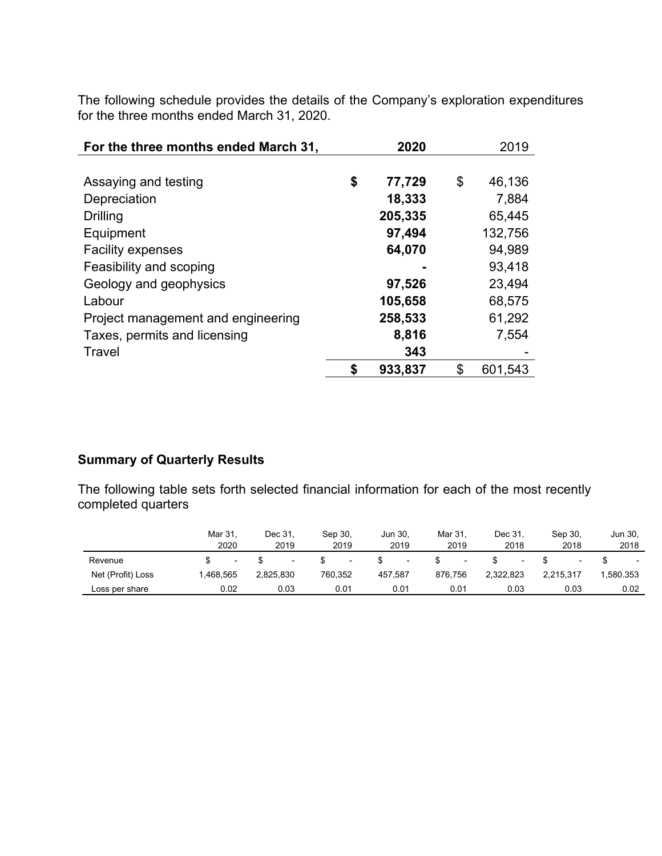The following schedule provides the details of the Company's exploration expenditures for the three months ended March 31, 2020.

| For the three months ended March 31, | 2020         | 2019          |
|--------------------------------------|--------------|---------------|
|                                      |              |               |
| Assaying and testing                 | \$<br>77,729 | \$<br>46,136  |
| Depreciation                         | 18,333       | 7,884         |
| Drilling                             | 205,335      | 65,445        |
| Equipment                            | 97,494       | 132,756       |
| <b>Facility expenses</b>             | 64,070       | 94,989        |
| Feasibility and scoping              |              | 93,418        |
| Geology and geophysics               | 97,526       | 23,494        |
| Labour                               | 105,658      | 68,575        |
| Project management and engineering   | 258,533      | 61,292        |
| Taxes, permits and licensing         | 8,816        | 7,554         |
| Travel                               | 343          |               |
|                                      | 933,837      | \$<br>601,543 |

# **Summary of Quarterly Results**

The following table sets forth selected financial information for each of the most recently completed quarters

|                   | Mar 31<br>2020 | Dec 31.<br>2019 | Sep 30,<br>2019          | Jun 30.<br>2019 | Mar 31.<br>2019          | Dec 31.<br>2018 | Sep 30.<br>2018 | Jun 30,<br>2018          |
|-------------------|----------------|-----------------|--------------------------|-----------------|--------------------------|-----------------|-----------------|--------------------------|
| Revenue           | н.             |                 | $\overline{\phantom{a}}$ | н.              | $\overline{\phantom{0}}$ |                 |                 | $\overline{\phantom{0}}$ |
| Net (Profit) Loss | 1.468.565      | 2.825.830       | 760.352                  | 457.587         | 876.756                  | 2.322.823       | 2.215.317       | .580.353                 |
| Loss per share    | 0.02           | 0.03            | 0.01                     | 0.01            | 0.01                     | 0.03            | 0.03            | 0.02                     |